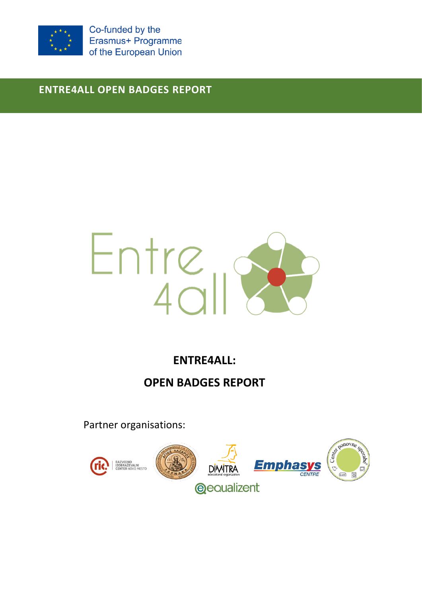

## **ENTRE4ALL OPEN BADGES REPORT**

# Entre<sub>4</sub>

## **ENTRE4ALL:**

## **OPEN BADGES REPORT**

Partner organisations:

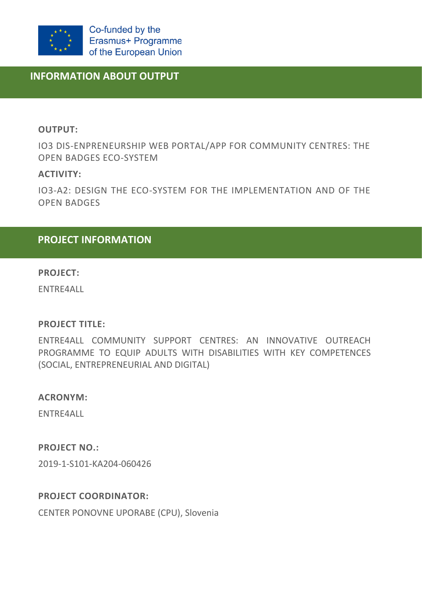

## **INFORMATION ABOUT OUTPUT**

## **OUTPUT:**

IO3 DIS-ENPRENEURSHIP WEB PORTAL/APP FOR COMMUNITY CENTRES: THE OPEN BADGES ECO-SYSTEM

## **ACTIVITY:**

IO3-A2: DESIGN THE ECO-SYSTEM FOR THE IMPLEMENTATION AND OF THE OPEN BADGES

## **PROJECT INFORMATION**

## **PROJECT:**

ENTRE4ALL

## **PROJECT TITLE:**

ENTRE4ALL COMMUNITY SUPPORT CENTRES: AN INNOVATIVE OUTREACH PROGRAMME TO EQUIP ADULTS WITH DISABILITIES WITH KEY COMPETENCES (SOCIAL, ENTREPRENEURIAL AND DIGITAL)

## **ACRONYM:**

ENTRE4ALL

## **PROJECT NO.:**

2019-1-S101-KA204-060426

## **PROJECT COORDINATOR:**

CENTER PONOVNE UPORABE (CPU), Slovenia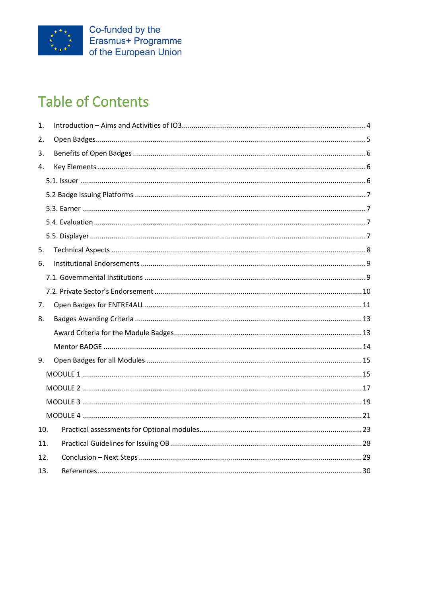

# **Table of Contents**

| 1.  |  |
|-----|--|
| 2.  |  |
| 3.  |  |
| 4.  |  |
|     |  |
|     |  |
|     |  |
|     |  |
|     |  |
| 5.  |  |
| 6.  |  |
|     |  |
|     |  |
| 7.  |  |
| 8.  |  |
|     |  |
|     |  |
| 9.  |  |
|     |  |
|     |  |
|     |  |
|     |  |
| 10. |  |
| 11. |  |
| 12. |  |
| 13. |  |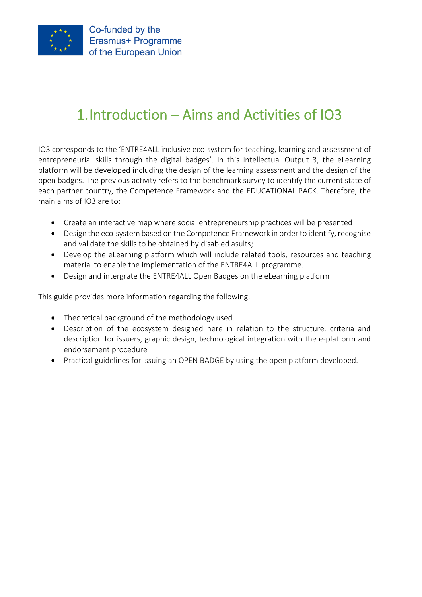

# <span id="page-3-0"></span>1.Introduction – Aims and Activities of IO3

IO3 corresponds to the 'ENTRE4ALL inclusive eco-system for teaching, learning and assessment of entrepreneurial skills through the digital badges'. In this Intellectual Output 3, the eLearning platform will be developed including the design of the learning assessment and the design of the open badges. The previous activity refers to the benchmark survey to identify the current state of each partner country, the Competence Framework and the EDUCATIONAL PACK. Therefore, the main aims of IO3 are to:

- Create an interactive map where social entrepreneurship practices will be presented
- Design the eco-system based on the Competence Framework in order to identify, recognise and validate the skills to be obtained by disabled asults;
- Develop the eLearning platform which will include related tools, resources and teaching material to enable the implementation of the ENTRE4ALL programme.
- Design and intergrate the ENTRE4ALL Open Badges on the eLearning platform

This guide provides more information regarding the following:

- Theoretical background of the methodology used.
- Description of the ecosystem designed here in relation to the structure, criteria and description for issuers, graphic design, technological integration with the e-platform and endorsement procedure
- Practical guidelines for issuing an OPEN BADGE by using the open platform developed.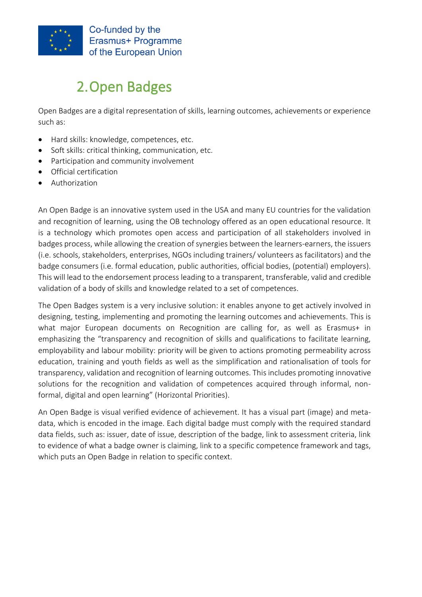

# 2.Open Badges

<span id="page-4-0"></span>Open Badges are a digital representation of skills, learning outcomes, achievements or experience such as:

- Hard skills: knowledge, competences, etc.
- Soft skills: critical thinking, communication, etc.
- Participation and community involvement
- Official certification
- Authorization

An Open Badge is an innovative system used in the USA and many EU countries for the validation and recognition of learning, using the OB technology offered as an open educational resource. It is a technology which promotes open access and participation of all stakeholders involved in badges process, while allowing the creation of synergies between the learners-earners, the issuers (i.e. schools, stakeholders, enterprises, NGOs including trainers/ volunteers as facilitators) and the badge consumers (i.e. formal education, public authorities, official bodies, (potential) employers). This will lead to the endorsement process leading to a transparent, transferable, valid and credible validation of a body of skills and knowledge related to a set of competences.

The Open Badges system is a very inclusive solution: it enables anyone to get actively involved in designing, testing, implementing and promoting the learning outcomes and achievements. This is what major European documents on Recognition are calling for, as well as Erasmus+ in emphasizing the "transparency and recognition of skills and qualifications to facilitate learning, employability and labour mobility: priority will be given to actions promoting permeability across education, training and youth fields as well as the simplification and rationalisation of tools for transparency, validation and recognition of learning outcomes. This includes promoting innovative solutions for the recognition and validation of competences acquired through informal, nonformal, digital and open learning" (Horizontal Priorities).

An Open Badge is visual verified evidence of achievement. It has a visual part (image) and metadata, which is encoded in the image. Each digital badge must comply with the required standard data fields, such as: issuer, date of issue, description of the badge, link to assessment criteria, link to evidence of what a badge owner is claiming, link to a specific competence framework and tags, which puts an Open Badge in relation to specific context.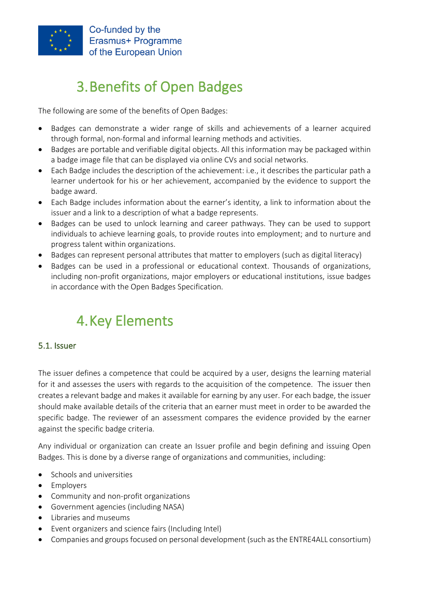

# 3.Benefits of Open Badges

<span id="page-5-0"></span>The following are some of the benefits of Open Badges:

- Badges can demonstrate a wider range of skills and achievements of a learner acquired through formal, non-formal and informal learning methods and activities.
- Badges are portable and verifiable digital objects. All this information may be packaged within a badge image file that can be displayed via online CVs and social networks.
- Each Badge includes the description of the achievement: i.e., it describes the particular path a learner undertook for his or her achievement, accompanied by the evidence to support the badge award.
- Each Badge includes information about the earner's identity, a link to information about the issuer and a link to a description of what a badge represents.
- Badges can be used to unlock learning and career pathways. They can be used to support individuals to achieve learning goals, to provide routes into employment; and to nurture and progress talent within organizations.
- Badges can represent personal attributes that matter to employers (such as digital literacy)
- Badges can be used in a professional or educational context. Thousands of organizations, including non-profit organizations, major employers or educational institutions, issue badges in accordance with the Open Badges Specification.

# 4.Key Elements

## <span id="page-5-2"></span><span id="page-5-1"></span>5.1. Issuer

The issuer defines a competence that could be acquired by a user, designs the learning material for it and assesses the users with regards to the acquisition of the competence. The issuer then creates a relevant badge and makes it available for earning by any user. For each badge, the issuer should make available details of the criteria that an earner must meet in order to be awarded the specific badge. The reviewer of an assessment compares the evidence provided by the earner against the specific badge criteria.

Any individual or organization can create an Issuer profile and begin defining and issuing Open Badges. This is done by a diverse range of organizations and communities, including:

- Schools and universities
- Employers
- Community and non-profit organizations
- Government agencies (including NASA)
- Libraries and museums
- Event organizers and science fairs (Including Intel)
- Companies and groups focused on personal development (such as the ENTRE4ALL consortium)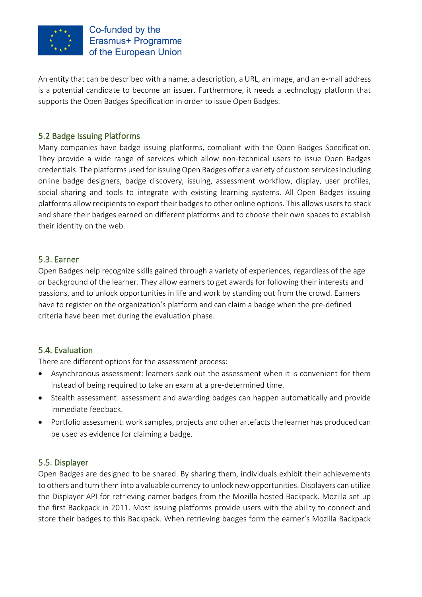

An entity that can be described with a name, a description, a URL, an image, and an e-mail address is a potential candidate to become an issuer. Furthermore, it needs a technology platform that supports the Open Badges Specification in order to issue Open Badges.

## <span id="page-6-0"></span>5.2 Badge Issuing Platforms

Many companies have badge issuing platforms, compliant with the Open Badges Specification. They provide a wide range of services which allow non-technical users to issue Open Badges credentials. The platforms used for issuing Open Badges offer a variety of custom services including online badge designers, badge discovery, issuing, assessment workflow, display, user profiles, social sharing and tools to integrate with existing learning systems. All Open Badges issuing platforms allow recipients to export their badges to other online options. This allows users to stack and share their badges earned on different platforms and to choose their own spaces to establish their identity on the web.

## <span id="page-6-1"></span>5.3. Earner

Open Badges help recognize skills gained through a variety of experiences, regardless of the age or background of the learner. They allow earners to get awards for following their interests and passions, and to unlock opportunities in life and work by standing out from the crowd. Earners have to register on the organization's platform and can claim a badge when the pre-defined criteria have been met during the evaluation phase.

## <span id="page-6-2"></span>5.4. Evaluation

There are different options for the assessment process:

- Asynchronous assessment: learners seek out the assessment when it is convenient for them instead of being required to take an exam at a pre-determined time.
- Stealth assessment: assessment and awarding badges can happen automatically and provide immediate feedback.
- Portfolio assessment: work samples, projects and other artefacts the learner has produced can be used as evidence for claiming a badge.

## <span id="page-6-3"></span>5.5. Displayer

Open Badges are designed to be shared. By sharing them, individuals exhibit their achievements to others and turn them into a valuable currency to unlock new opportunities. Displayers can utilize the Displayer API for retrieving earner badges from the Mozilla hosted Backpack. Mozilla set up the first Backpack in 2011. Most issuing platforms provide users with the ability to connect and store their badges to this Backpack. When retrieving badges form the earner's Mozilla Backpack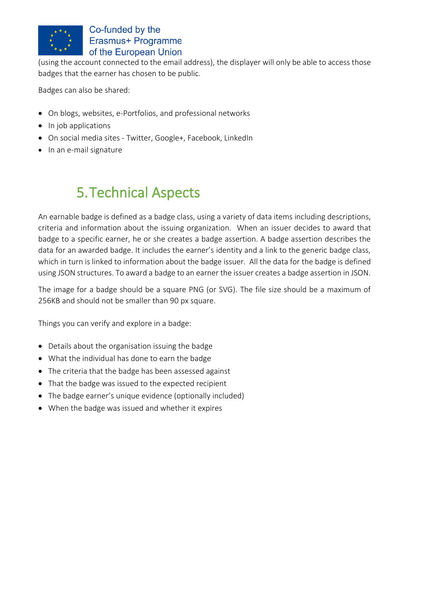

(using the account connected to the email address), the displayer will only be able to access those badges that the earner has chosen to be public.

Badges can also be shared:

- On blogs, websites, e-Portfolios, and professional networks
- In job applications
- On social media sites Twitter, Google+, Facebook, LinkedIn
- In an e-mail signature

# 5.Technical Aspects

<span id="page-7-0"></span>An earnable badge is defined as a badge class, using a variety of data items including descriptions, criteria and information about the issuing organization. When an issuer decides to award that badge to a specific earner, he or she creates a badge assertion. A badge assertion describes the data for an awarded badge. It includes the earner's identity and a link to the generic badge class, which in turn is linked to information about the badge issuer. All the data for the badge is defined using JSON structures. To award a badge to an earner the issuer creates a badge assertion in JSON.

The image for a badge should be a square PNG (or SVG). The file size should be a maximum of 256KB and should not be smaller than 90 px square.

Things you can verify and explore in a badge:

- Details about the organisation issuing the badge
- What the individual has done to earn the badge
- The criteria that the badge has been assessed against
- That the badge was issued to the expected recipient
- The badge earner's unique evidence (optionally included)
- When the badge was issued and whether it expires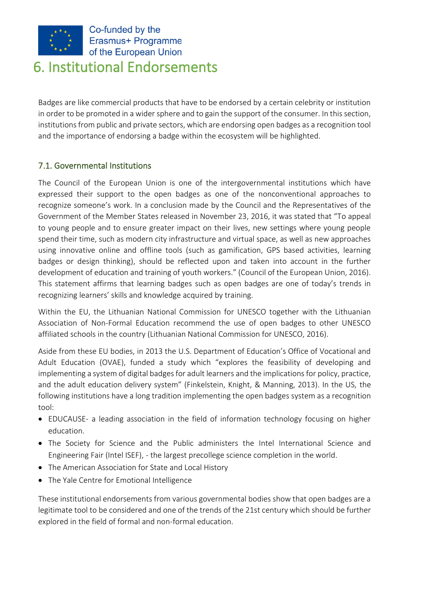

## <span id="page-8-0"></span>6. Institutional Endorsements

Badges are like commercial products that have to be endorsed by a certain celebrity or institution in order to be promoted in a wider sphere and to gain the support of the consumer. In this section, institutions from public and private sectors, which are endorsing open badges as a recognition tool and the importance of endorsing a badge within the ecosystem will be highlighted.

## <span id="page-8-1"></span>7.1. Governmental Institutions

The Council of the European Union is one of the intergovernmental institutions which have expressed their support to the open badges as one of the nonconventional approaches to recognize someone's work. In a conclusion made by the Council and the Representatives of the Government of the Member States released in November 23, 2016, it was stated that "To appeal to young people and to ensure greater impact on their lives, new settings where young people spend their time, such as modern city infrastructure and virtual space, as well as new approaches using innovative online and offline tools (such as gamification, GPS based activities, learning badges or design thinking), should be reflected upon and taken into account in the further development of education and training of youth workers." (Council of the European Union, 2016). This statement affirms that learning badges such as open badges are one of today's trends in recognizing learners' skills and knowledge acquired by training.

Within the EU, the Lithuanian National Commission for UNESCO together with the Lithuanian Association of Non-Formal Education recommend the use of open badges to other UNESCO affiliated schools in the country (Lithuanian National Commission for UNESCO, 2016).

Aside from these EU bodies, in 2013 the U.S. Department of Education's Office of Vocational and Adult Education (OVAE), funded a study which "explores the feasibility of developing and implementing a system of digital badges for adult learners and the implications for policy, practice, and the adult education delivery system" (Finkelstein, Knight, & Manning, 2013). In the US, the following institutions have a long tradition implementing the open badges system as a recognition tool:

- EDUCAUSE- a leading association in the field of information technology focusing on higher education.
- The Society for Science and the Public administers the Intel International Science and Engineering Fair (Intel ISEF), - the largest precollege science completion in the world.
- The American Association for State and Local History
- The Yale Centre for Emotional Intelligence

These institutional endorsements from various governmental bodies show that open badges are a legitimate tool to be considered and one of the trends of the 21st century which should be further explored in the field of formal and non-formal education.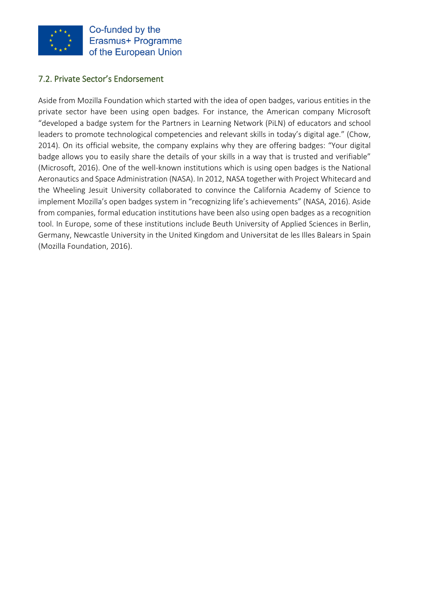

## <span id="page-9-0"></span>7.2. Private Sector's Endorsement

Aside from Mozilla Foundation which started with the idea of open badges, various entities in the private sector have been using open badges. For instance, the American company Microsoft "developed a badge system for the Partners in Learning Network (PiLN) of educators and school leaders to promote technological competencies and relevant skills in today's digital age." (Chow, 2014). On its official website, the company explains why they are offering badges: "Your digital badge allows you to easily share the details of your skills in a way that is trusted and verifiable" (Microsoft, 2016). One of the well-known institutions which is using open badges is the National Aeronautics and Space Administration (NASA). In 2012, NASA together with Project Whitecard and the Wheeling Jesuit University collaborated to convince the California Academy of Science to implement Mozilla's open badges system in "recognizing life's achievements" (NASA, 2016). Aside from companies, formal education institutions have been also using open badges as a recognition tool. In Europe, some of these institutions include Beuth University of Applied Sciences in Berlin, Germany, Newcastle University in the United Kingdom and Universitat de les Illes Balears in Spain (Mozilla Foundation, 2016).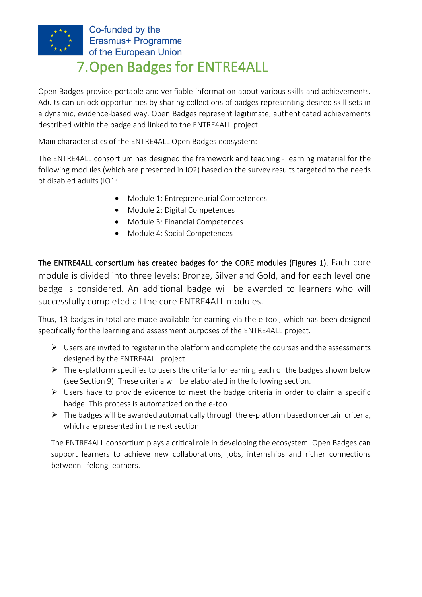

<span id="page-10-0"></span>Open Badges provide portable and verifiable information about various skills and achievements. Adults can unlock opportunities by sharing collections of badges representing desired skill sets in a dynamic, evidence-based way. Open Badges represent legitimate, authenticated achievements described within the badge and linked to the ENTRE4ALL project.

Main characteristics of the ENTRE4ALL Open Badges ecosystem:

The ENTRE4ALL consortium has designed the framework and teaching - learning material for the following modules (which are presented in IO2) based on the survey results targeted to the needs of disabled adults (IO1:

- Module 1: Entrepreneurial Competences
- Module 2: Digital Competences
- Module 3: Financial Competences
- Module 4: Social Competences

The ENTRE4ALL consortium has created badges for the CORE modules (Figures 1). Each core module is divided into three levels: Bronze, Silver and Gold, and for each level one badge is considered. An additional badge will be awarded to learners who will successfully completed all the core ENTRE4ALL modules.

Thus, 13 badges in total are made available for earning via the e-tool, which has been designed specifically for the learning and assessment purposes of the ENTRE4ALL project.

- ➢ Users are invited to register in the platform and complete the courses and the assessments designed by the ENTRE4ALL project.
- $\triangleright$  The e-platform specifies to users the criteria for earning each of the badges shown below (see Section 9). These criteria will be elaborated in the following section.
- ➢ Users have to provide evidence to meet the badge criteria in order to claim a specific badge. This process is automatized on the e-tool.
- $\triangleright$  The badges will be awarded automatically through the e-platform based on certain criteria, which are presented in the next section.

The ENTRE4ALL consortium plays a critical role in developing the ecosystem. Open Badges can support learners to achieve new collaborations, jobs, internships and richer connections between lifelong learners.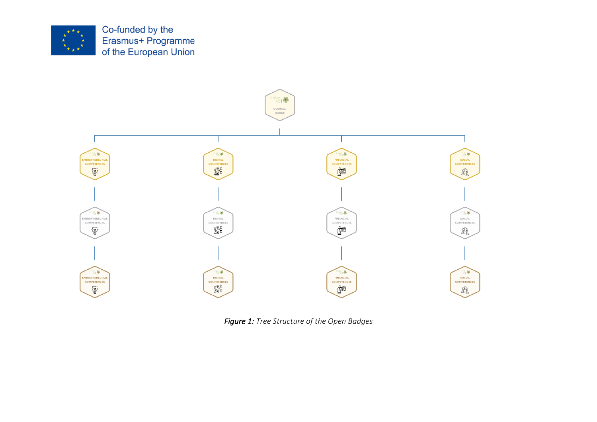



*Figure 1: Tree Structure of the Open Badges*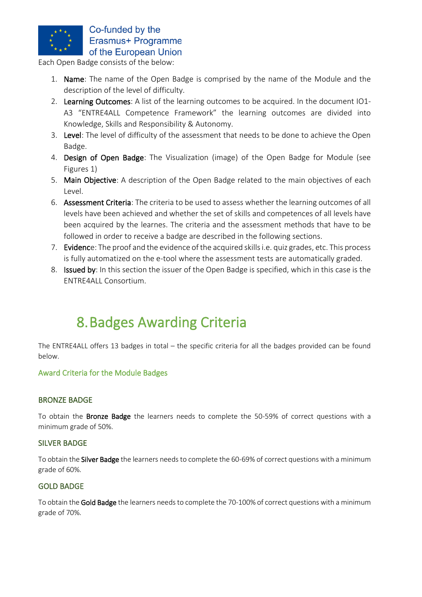

Each Open Badge consists of the below:

- 1. Name: The name of the Open Badge is comprised by the name of the Module and the description of the level of difficulty.
- 2. Learning Outcomes: A list of the learning outcomes to be acquired. In the document IO1- A3 "ENTRE4ALL Competence Framework" the learning outcomes are divided into Knowledge, Skills and Responsibility & Autonomy.
- 3. Level: The level of difficulty of the assessment that needs to be done to achieve the Open Badge.
- 4. Design of Open Badge: The Visualization (image) of the Open Badge for Module (see Figures 1)
- 5. Main Objective: A description of the Open Badge related to the main objectives of each Level.
- 6. Assessment Criteria: The criteria to be used to assess whether the learning outcomes of all levels have been achieved and whether the set of skills and competences of all levels have been acquired by the learnes. The criteria and the assessment methods that have to be followed in order to receive a badge are described in the following sections.
- 7. Evidence: The proof and the evidence of the acquired skills i.e. quiz grades, etc. This process is fully automatized on the e-tool where the assessment tests are automatically graded.
- 8. Issued by: In this section the issuer of the Open Badge is specified, which in this case is the ENTRE4ALL Consortium.

# 8.Badges Awarding Criteria

<span id="page-12-0"></span>The ENTRE4ALL offers 13 badges in total – the specific criteria for all the badges provided can be found below.

## <span id="page-12-1"></span>Award Criteria for the Module Badges

## BRONZE BADGE

To obtain the **Bronze Badge** the learners needs to complete the 50-59% of correct questions with a minimum grade of 50%.

#### SILVER BADGE

To obtain the Silver Badge the learners needs to complete the 60-69% of correct questions with a minimum grade of 60%.

#### GOLD BADGE

To obtain the Gold Badge the learners needs to complete the 70-100% of correct questions with a minimum grade of 70%.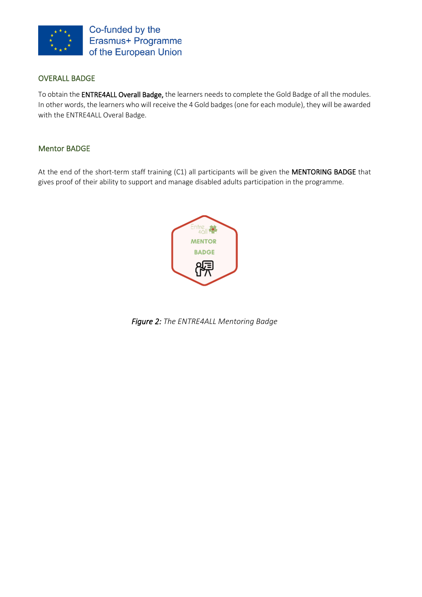

#### OVERALL BADGE

To obtain the ENTRE4ALL Overall Badge, the learners needs to complete the Gold Badge of all the modules. In other words, the learners who will receive the 4 Gold badges (one for each module), they will be awarded with the ENTRE4ALL Overal Badge.

### <span id="page-13-0"></span>Mentor BADGE

At the end of the short-term staff training (C1) all participants will be given the MENTORING BADGE that gives proof of their ability to support and manage disabled adults participation in the programme.



*Figure 2: The ENTRE4ALL Mentoring Badge*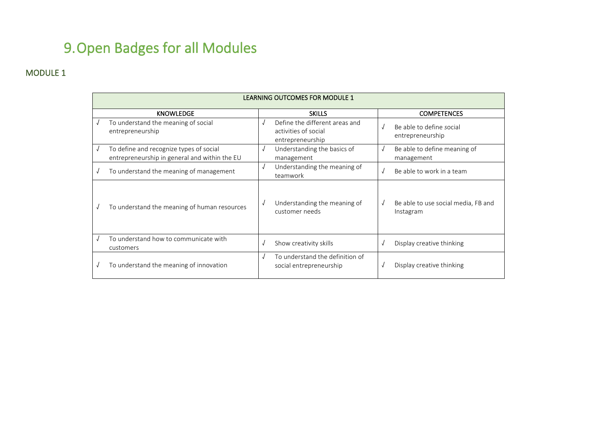# 9.Open Badges for all Modules

<span id="page-14-1"></span><span id="page-14-0"></span>

| LEARNING OUTCOMES FOR MODULE 1                                                           |            |                                                                            |            |                                                  |  |
|------------------------------------------------------------------------------------------|------------|----------------------------------------------------------------------------|------------|--------------------------------------------------|--|
| <b>KNOWLEDGE</b>                                                                         |            | <b>SKILLS</b>                                                              |            | <b>COMPETENCES</b>                               |  |
| To understand the meaning of social<br>entrepreneurship                                  |            | Define the different areas and<br>activities of social<br>entrepreneurship | $\sqrt{ }$ | Be able to define social<br>entrepreneurship     |  |
| To define and recognize types of social<br>entrepreneurship in general and within the EU |            | Understanding the basics of<br>management                                  | $\sqrt{ }$ | Be able to define meaning of<br>management       |  |
| To understand the meaning of management                                                  | $\sqrt{ }$ | Understanding the meaning of<br>teamwork                                   | $\sqrt{ }$ | Be able to work in a team                        |  |
| To understand the meaning of human resources                                             |            | Understanding the meaning of<br>customer needs                             | $\sqrt{ }$ | Be able to use social media, FB and<br>Instagram |  |
| To understand how to communicate with<br>customers                                       |            | Show creativity skills                                                     | $\sqrt{ }$ | Display creative thinking                        |  |
| To understand the meaning of innovation                                                  |            | To understand the definition of<br>social entrepreneurship                 | $\sqrt{ }$ | Display creative thinking                        |  |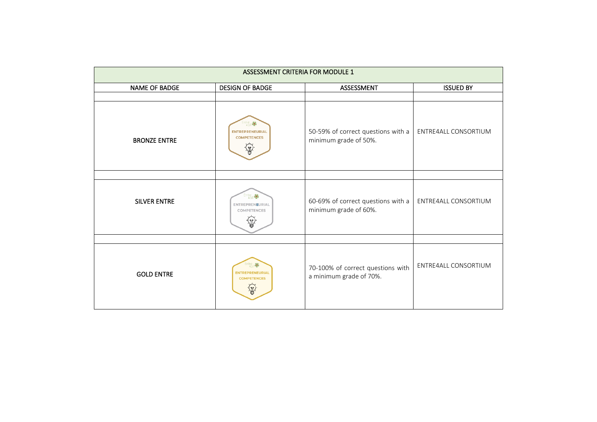| <b>ASSESSMENT CRITERIA FOR MODULE 1</b> |                                                                                                  |                                                              |                             |  |  |  |  |
|-----------------------------------------|--------------------------------------------------------------------------------------------------|--------------------------------------------------------------|-----------------------------|--|--|--|--|
| NAME OF BADGE                           | <b>DESIGN OF BADGE</b>                                                                           | ASSESSMENT                                                   | <b>ISSUED BY</b>            |  |  |  |  |
|                                         |                                                                                                  |                                                              |                             |  |  |  |  |
| <b>BRONZE ENTRE</b>                     | <b>ENTREPRENEURIAL</b><br><b>COMPETENCES</b><br>$\widetilde{\mathbb{P}}$                         | 50-59% of correct questions with a<br>minimum grade of 50%.  | <b>ENTRE4ALL CONSORTIUM</b> |  |  |  |  |
|                                         |                                                                                                  |                                                              |                             |  |  |  |  |
| <b>SILVER ENTRE</b>                     | ntre <sub>il</sub> 参<br><b>ENTREPRENEURIAL</b><br><b>COMPETENCES</b><br>$\widetilde{\mathbb{P}}$ | 60-69% of correct questions with a<br>minimum grade of 60%.  | ENTRE4ALL CONSORTIUM        |  |  |  |  |
|                                         |                                                                                                  |                                                              |                             |  |  |  |  |
| <b>GOLD ENTRE</b>                       | <b>ENTREPRENEURIAL</b><br><b>COMPETENCES</b><br>$\widetilde{\mathbb{P}}$                         | 70-100% of correct questions with<br>a minimum grade of 70%. | ENTRE4ALL CONSORTIUM        |  |  |  |  |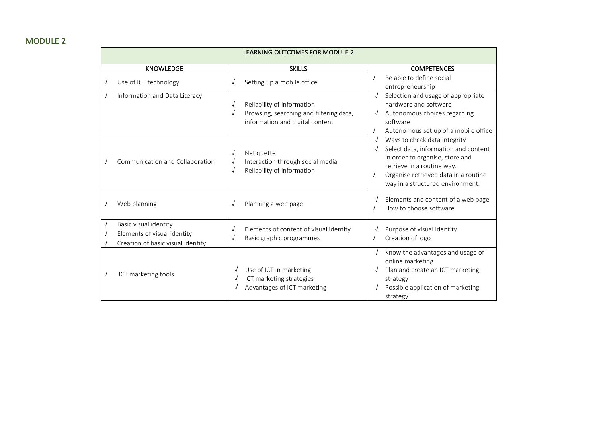<span id="page-16-0"></span>

|                          | <b>LEARNING OUTCOMES FOR MODULE 2</b>                                                     |                                                                                                                                      |                                                                                                                                                                                                                   |  |  |  |  |  |
|--------------------------|-------------------------------------------------------------------------------------------|--------------------------------------------------------------------------------------------------------------------------------------|-------------------------------------------------------------------------------------------------------------------------------------------------------------------------------------------------------------------|--|--|--|--|--|
|                          | <b>KNOWLEDGE</b>                                                                          | <b>SKILLS</b>                                                                                                                        | <b>COMPETENCES</b>                                                                                                                                                                                                |  |  |  |  |  |
| $\sqrt{2}$               | Use of ICT technology                                                                     | Setting up a mobile office                                                                                                           | Be able to define social<br>entrepreneurship                                                                                                                                                                      |  |  |  |  |  |
| $\sqrt{ }$               | Information and Data Literacy                                                             | Reliability of information<br>$\sqrt{ }$<br>Browsing, searching and filtering data,<br>$\sqrt{ }$<br>information and digital content | Selection and usage of appropriate<br>hardware and software<br>Autonomous choices regarding<br>software<br>Autonomous set up of a mobile office                                                                   |  |  |  |  |  |
|                          | Communication and Collaboration                                                           | Netiquette<br>Interaction through social media<br>$\sqrt{ }$<br>Reliability of information<br>$\sqrt{ }$                             | Ways to check data integrity<br>Select data, information and content<br>in order to organise, store and<br>retrieve in a routine way.<br>Organise retrieved data in a routine<br>way in a structured environment. |  |  |  |  |  |
| $\sqrt{ }$               | Web planning                                                                              | Planning a web page<br>$\sqrt{ }$                                                                                                    | Elements and content of a web page<br>How to choose software                                                                                                                                                      |  |  |  |  |  |
| $\sqrt{2}$<br>$\sqrt{ }$ | Basic visual identity<br>Elements of visual identity<br>Creation of basic visual identity | Elements of content of visual identity<br>$\sqrt{ }$<br>Basic graphic programmes                                                     | Purpose of visual identity<br>Creation of logo                                                                                                                                                                    |  |  |  |  |  |
| $\sqrt{ }$               | ICT marketing tools                                                                       | Use of ICT in marketing<br>ICT marketing strategies<br>Advantages of ICT marketing                                                   | Know the advantages and usage of<br>online marketing<br>Plan and create an ICT marketing<br>strategy<br>Possible application of marketing<br>strategy                                                             |  |  |  |  |  |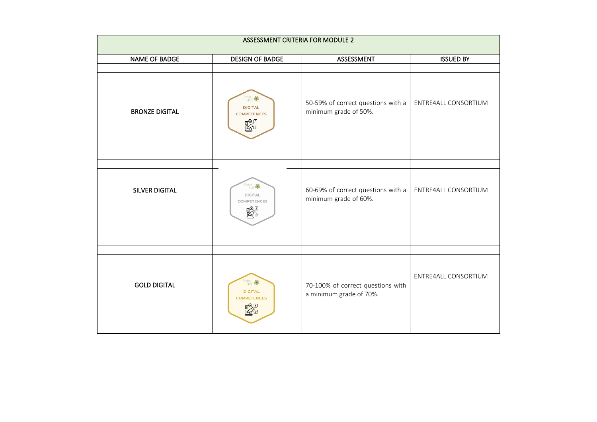| <b>ASSESSMENT CRITERIA FOR MODULE 2</b>                                                     |                                                                        |                                                              |                      |  |  |  |  |
|---------------------------------------------------------------------------------------------|------------------------------------------------------------------------|--------------------------------------------------------------|----------------------|--|--|--|--|
| <b>NAME OF BADGE</b>                                                                        | <b>DESIGN OF BADGE</b>                                                 | ASSESSMENT                                                   | <b>ISSUED BY</b>     |  |  |  |  |
|                                                                                             |                                                                        |                                                              |                      |  |  |  |  |
| <b>BRONZE DIGITAL</b>                                                                       | Tre <sub>i</sub> a<br><b>DIGITAL</b><br><b>COMPETENCES</b><br>eg<br>Ke | 50-59% of correct questions with a<br>minimum grade of 50%.  | ENTRE4ALL CONSORTIUM |  |  |  |  |
|                                                                                             |                                                                        |                                                              |                      |  |  |  |  |
| $\frac{n}{4}$ $\frac{1}{2}$<br><b>SILVER DIGITAL</b><br>DIGITAL<br>COMPETENCES<br>eça<br>Ke |                                                                        | 60-69% of correct questions with a<br>minimum grade of 60%.  | ENTRE4ALL CONSORTIUM |  |  |  |  |
|                                                                                             |                                                                        |                                                              |                      |  |  |  |  |
| <b>GOLD DIGITAL</b>                                                                         | Entre de<br><b>DIGITAL</b><br><b>COMPETENCES</b><br><b>R</b> e         | 70-100% of correct questions with<br>a minimum grade of 70%. | ENTRE4ALL CONSORTIUM |  |  |  |  |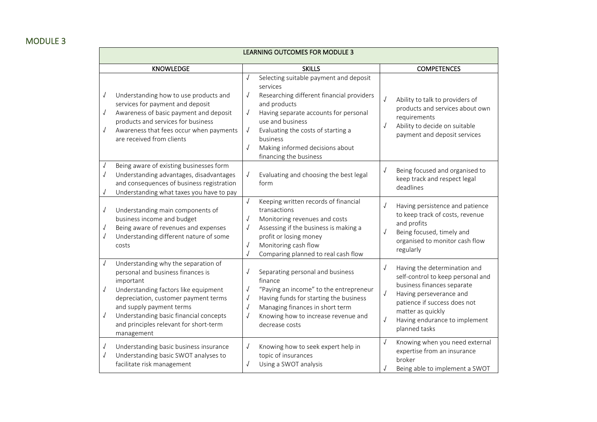<span id="page-18-0"></span>

| LEARNING OUTCOMES FOR MODULE 3                                                                                                                                                                                                                                                                                                                                              |                                                                                                                                                                                                                                                                                                                                                      |                                                                                                                                                                                                                                                                             |  |  |  |  |  |
|-----------------------------------------------------------------------------------------------------------------------------------------------------------------------------------------------------------------------------------------------------------------------------------------------------------------------------------------------------------------------------|------------------------------------------------------------------------------------------------------------------------------------------------------------------------------------------------------------------------------------------------------------------------------------------------------------------------------------------------------|-----------------------------------------------------------------------------------------------------------------------------------------------------------------------------------------------------------------------------------------------------------------------------|--|--|--|--|--|
| <b>KNOWLEDGE</b>                                                                                                                                                                                                                                                                                                                                                            | <b>SKILLS</b>                                                                                                                                                                                                                                                                                                                                        | <b>COMPETENCES</b>                                                                                                                                                                                                                                                          |  |  |  |  |  |
| $\sqrt{2}$<br>Understanding how to use products and<br>services for payment and deposit<br>$\sqrt{2}$<br>Awareness of basic payment and deposit<br>products and services for business<br>$\sqrt{2}$<br>Awareness that fees occur when payments<br>are received from clients                                                                                                 | J<br>Selecting suitable payment and deposit<br>services<br>$\sqrt{}$<br>Researching different financial providers<br>and products<br>$\sqrt{}$<br>Having separate accounts for personal<br>use and business<br>$\sqrt{}$<br>Evaluating the costs of starting a<br>business<br>$\sqrt{}$<br>Making informed decisions about<br>financing the business | $\sqrt{ }$<br>Ability to talk to providers of<br>products and services about own<br>requirements<br>$\sqrt{ }$<br>Ability to decide on suitable<br>payment and deposit services                                                                                             |  |  |  |  |  |
| Being aware of existing businesses form<br>$\sqrt{2}$<br>$\sqrt{\phantom{a}}$<br>Understanding advantages, disadvantages<br>and consequences of business registration<br>J<br>Understanding what taxes you have to pay                                                                                                                                                      | J<br>Evaluating and choosing the best legal<br>form                                                                                                                                                                                                                                                                                                  | Being focused and organised to<br>$\sqrt{ }$<br>keep track and respect legal<br>deadlines                                                                                                                                                                                   |  |  |  |  |  |
| $\sqrt{\phantom{a}}$<br>Understanding main components of<br>business income and budget<br>$\sqrt{\phantom{a}}$<br>Being aware of revenues and expenses<br>$\sqrt{2}$<br>Understanding different nature of some<br>costs                                                                                                                                                     | $\sqrt{}$<br>Keeping written records of financial<br>transactions<br>J<br>Monitoring revenues and costs<br>$\sqrt{\phantom{a}}$<br>Assessing if the business is making a<br>profit or losing money<br>$\sqrt{\phantom{a}}$<br>Monitoring cash flow<br>$\sqrt{2}$<br>Comparing planned to real cash flow                                              | $\sqrt{ }$<br>Having persistence and patience<br>to keep track of costs, revenue<br>and profits<br>$\sqrt{ }$<br>Being focused, timely and<br>organised to monitor cash flow<br>regularly                                                                                   |  |  |  |  |  |
| $\sqrt{\phantom{a}}$<br>Understanding why the separation of<br>personal and business finances is<br>important<br>$\sqrt{\phantom{a}}$<br>Understanding factors like equipment<br>depreciation, customer payment terms<br>and supply payment terms<br>$\sqrt{\phantom{a}}$<br>Understanding basic financial concepts<br>and principles relevant for short-term<br>management | $\sqrt{}$<br>Separating personal and business<br>finance<br>$\sqrt{\phantom{a}}$<br>"Paying an income" to the entrepreneur<br>$\sqrt{\phantom{a}}$<br>Having funds for starting the business<br>$\sqrt{\phantom{a}}$<br>Managing finances in short term<br>$\sqrt{ }$<br>Knowing how to increase revenue and<br>decrease costs                       | $\sqrt{ }$<br>Having the determination and<br>self-control to keep personal and<br>business finances separate<br>$\sqrt{ }$<br>Having perseverance and<br>patience if success does not<br>matter as quickly<br>$\sqrt{ }$<br>Having endurance to implement<br>planned tasks |  |  |  |  |  |
| $\sqrt{2}$<br>Understanding basic business insurance<br>$\sqrt{\phantom{a}}$<br>Understanding basic SWOT analyses to<br>facilitate risk management                                                                                                                                                                                                                          | $\sqrt{ }$<br>Knowing how to seek expert help in<br>topic of insurances<br>$\sqrt{ }$<br>Using a SWOT analysis                                                                                                                                                                                                                                       | $\sqrt{ }$<br>Knowing when you need external<br>expertise from an insurance<br>broker<br>Being able to implement a SWOT                                                                                                                                                     |  |  |  |  |  |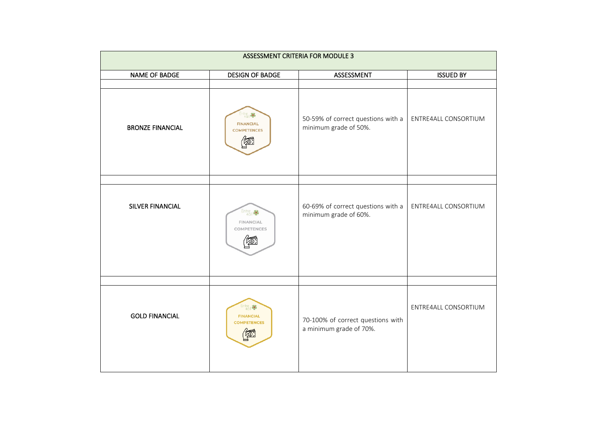| ASSESSMENT CRITERIA FOR MODULE 3                                                           |                                                         |                                                              |                      |  |  |  |  |
|--------------------------------------------------------------------------------------------|---------------------------------------------------------|--------------------------------------------------------------|----------------------|--|--|--|--|
| <b>NAME OF BADGE</b>                                                                       | <b>DESIGN OF BADGE</b>                                  | ASSESSMENT                                                   | <b>ISSUED BY</b>     |  |  |  |  |
| ™en <del>键</del><br><b>FINANCIAL</b><br><b>BRONZE FINANCIAL</b><br><b>COMPETENCES</b><br>鱼 |                                                         | 50-59% of correct questions with a<br>minimum grade of 50%.  | ENTRE4ALL CONSORTIUM |  |  |  |  |
| <b>SILVER FINANCIAL</b>                                                                    | Entre &<br><b>FINANCIAL</b><br><b>COMPETENCES</b><br>(@ | 60-69% of correct questions with a<br>minimum grade of 60%.  | ENTRE4ALL CONSORTIUM |  |  |  |  |
|                                                                                            |                                                         |                                                              |                      |  |  |  |  |
| <b>GOLD FINANCIAL</b>                                                                      | Entre de<br><b>FINANCIAL</b><br><b>COMPETENCES</b><br>偭 | 70-100% of correct questions with<br>a minimum grade of 70%. | ENTRE4ALL CONSORTIUM |  |  |  |  |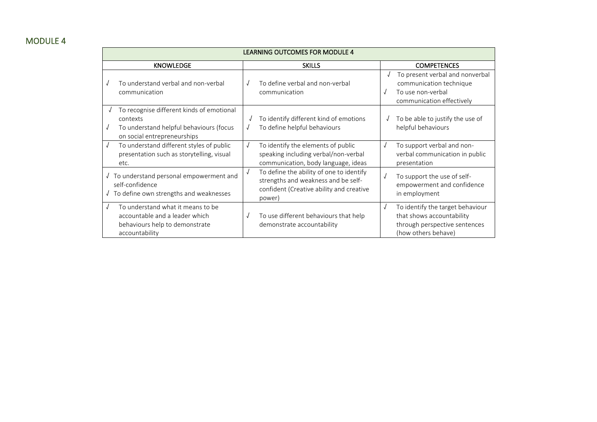<span id="page-20-0"></span>

|            | LEARNING OUTCOMES FOR MODULE 4                                                                                                  |                 |                                                                                                                                       |            |                                                                                                                       |  |  |
|------------|---------------------------------------------------------------------------------------------------------------------------------|-----------------|---------------------------------------------------------------------------------------------------------------------------------------|------------|-----------------------------------------------------------------------------------------------------------------------|--|--|
|            | <b>KNOWLEDGE</b>                                                                                                                |                 | <b>SKILLS</b>                                                                                                                         |            | <b>COMPETENCES</b>                                                                                                    |  |  |
| $\sqrt{ }$ | To understand verbal and non-verbal<br>communication                                                                            | $\sqrt{ }$      | To define verbal and non-verbal<br>communication                                                                                      | $\sqrt{ }$ | To present verbal and nonverbal<br>communication technique<br>To use non-verbal<br>communication effectively          |  |  |
| $\sqrt{2}$ | To recognise different kinds of emotional<br>contexts<br>To understand helpful behaviours (focus<br>on social entrepreneurships | N<br>$\sqrt{ }$ | To identify different kind of emotions<br>To define helpful behaviours                                                                | $\sqrt{ }$ | To be able to justify the use of<br>helpful behaviours                                                                |  |  |
| J          | To understand different styles of public<br>presentation such as storytelling, visual<br>etc.                                   | $\sqrt{ }$      | To identify the elements of public<br>speaking including verbal/non-verbal<br>communication, body language, ideas                     | $\sqrt{ }$ | To support verbal and non-<br>verbal communication in public<br>presentation                                          |  |  |
| $\sqrt{ }$ | √ To understand personal empowerment and<br>self-confidence<br>To define own strengths and weaknesses                           | $\sqrt{ }$      | To define the ability of one to identify<br>strengths and weakness and be self-<br>confident (Creative ability and creative<br>power) | $\sqrt{2}$ | To support the use of self-<br>empowerment and confidence<br>in employment                                            |  |  |
|            | To understand what it means to be<br>accountable and a leader which<br>behaviours help to demonstrate<br>accountability         | $\sqrt{ }$      | To use different behaviours that help<br>demonstrate accountability                                                                   | $\sqrt{ }$ | To identify the target behaviour<br>that shows accountability<br>through perspective sentences<br>(how others behave) |  |  |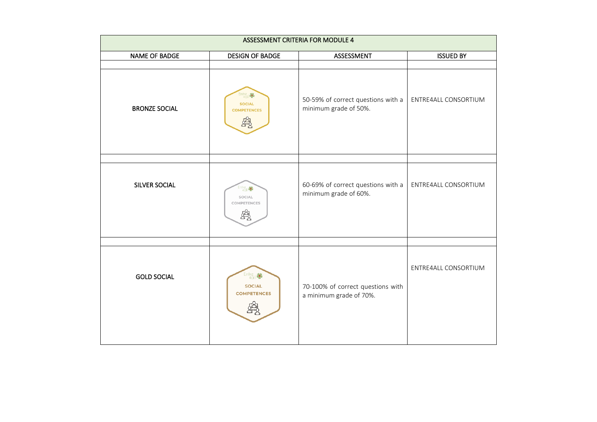| ASSESSMENT CRITERIA FOR MODULE 4                             |                                                              |                      |  |  |  |  |
|--------------------------------------------------------------|--------------------------------------------------------------|----------------------|--|--|--|--|
| <b>DESIGN OF BADGE</b>                                       | ASSESSMENT                                                   | <b>ISSUED BY</b>     |  |  |  |  |
| Entre S<br><b>SOCIAL</b><br><b>COMPETENCES</b><br>ුනු<br>අවි | 50-59% of correct questions with a<br>minimum grade of 50%.  | ENTRE4ALL CONSORTIUM |  |  |  |  |
|                                                              |                                                              |                      |  |  |  |  |
| Entre a<br>SOCIAL<br>COMPETENCES<br>seg                      | 60-69% of correct questions with a<br>minimum grade of 60%.  | ENTRE4ALL CONSORTIUM |  |  |  |  |
|                                                              |                                                              |                      |  |  |  |  |
| Entre 3<br><b>SOCIAL</b><br><b>COMPETENCES</b>               | 70-100% of correct questions with<br>a minimum grade of 70%. | ENTRE4ALL CONSORTIUM |  |  |  |  |
|                                                              |                                                              |                      |  |  |  |  |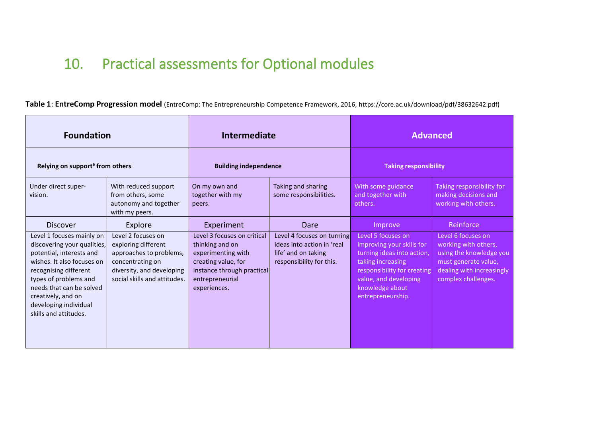# 10. Practical assessments for Optional modules

**Table 1**: **EntreComp Progression model** (EntreComp: The Entrepreneurship Competence Framework, 2016, https://core.ac.uk/download/pdf/38632642.pdf)

<span id="page-22-0"></span>

| <b>Foundation</b>                                                                                                                                                                                                                                                        |                                                                                                                                                       | <b>Intermediate</b>                                                                                                                                          |                                                                                                             | <b>Advanced</b>                                                                                                                                                                                    |                                                                                                                                                   |  |
|--------------------------------------------------------------------------------------------------------------------------------------------------------------------------------------------------------------------------------------------------------------------------|-------------------------------------------------------------------------------------------------------------------------------------------------------|--------------------------------------------------------------------------------------------------------------------------------------------------------------|-------------------------------------------------------------------------------------------------------------|----------------------------------------------------------------------------------------------------------------------------------------------------------------------------------------------------|---------------------------------------------------------------------------------------------------------------------------------------------------|--|
| Relying on support <sup>6</sup> from others                                                                                                                                                                                                                              |                                                                                                                                                       | <b>Building independence</b>                                                                                                                                 |                                                                                                             | <b>Taking responsibility</b>                                                                                                                                                                       |                                                                                                                                                   |  |
| Under direct super-<br>vision.                                                                                                                                                                                                                                           | With reduced support<br>from others, some<br>autonomy and together<br>with my peers.                                                                  | On my own and<br>together with my<br>peers.                                                                                                                  | Taking and sharing<br>some responsibilities.                                                                | With some guidance<br>and together with<br>others.                                                                                                                                                 | Taking responsibility for<br>making decisions and<br>working with others.                                                                         |  |
| <b>Discover</b>                                                                                                                                                                                                                                                          | Explore                                                                                                                                               | Experiment                                                                                                                                                   | Dare                                                                                                        | Improve                                                                                                                                                                                            | Reinforce                                                                                                                                         |  |
| Level 1 focuses mainly on<br>discovering your qualities,<br>potential, interests and<br>wishes. It also focuses on<br>recognising different<br>types of problems and<br>needs that can be solved<br>creatively, and on<br>developing individual<br>skills and attitudes. | Level 2 focuses on<br>exploring different<br>approaches to problems,<br>concentrating on<br>diversity, and developing<br>social skills and attitudes. | Level 3 focuses on critical<br>thinking and on<br>experimenting with<br>creating value, for<br>instance through practical<br>entrepreneurial<br>experiences. | Level 4 focuses on turning<br>ideas into action in 'real<br>life' and on taking<br>responsibility for this. | Level 5 focuses on<br>improving your skills for<br>turning ideas into action.<br>taking increasing<br>responsibility for creating<br>value, and developing<br>knowledge about<br>entrepreneurship. | Level 6 focuses on<br>working with others,<br>using the knowledge you<br>must generate value,<br>dealing with increasingly<br>complex challenges. |  |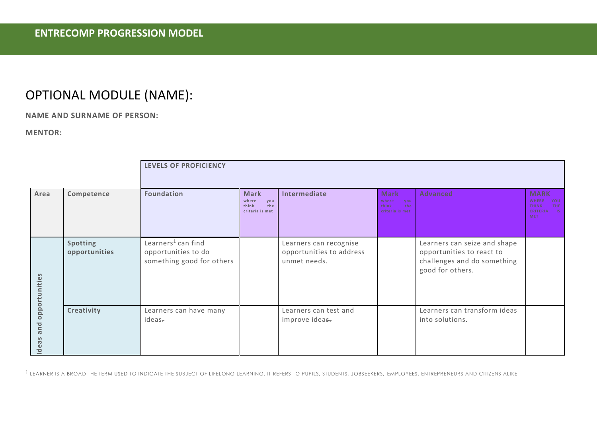## OPTIONAL MODULE (NAME):

#### **NAME AND SURNAME OF PERSON:**

#### **MENTOR:**

|                               |                                  | LEVELS OF PROFICIENCY                                                              |                                                                |                                                                    |                                                                |                                                                                                              |                                                                                         |
|-------------------------------|----------------------------------|------------------------------------------------------------------------------------|----------------------------------------------------------------|--------------------------------------------------------------------|----------------------------------------------------------------|--------------------------------------------------------------------------------------------------------------|-----------------------------------------------------------------------------------------|
| Area                          | Competence                       | <b>Foundation</b>                                                                  | <b>Mark</b><br>where<br>you<br>the<br>think<br>criteria is met | Intermediate                                                       | <b>Mark</b><br>you<br>where<br>the<br>think<br>criteria is met | <b>Advanced</b>                                                                                              | <b>MARK</b><br><b>WHERE</b><br>YOU<br><b>THINK</b><br>THE.<br>CRITERIA IS<br><b>MET</b> |
| opportunities                 | <b>Spotting</b><br>opportunities | Learners <sup>1</sup> can find<br>opportunities to do<br>something good for others |                                                                | Learners can recognise<br>opportunities to address<br>unmet needs. |                                                                | Learners can seize and shape<br>opportunities to react to<br>challenges and do something<br>good for others. |                                                                                         |
| pu<br>$\sigma$<br><b>Idea</b> | Creativity                       | Learners can have many<br>ideas-                                                   |                                                                | Learners can test and<br>improve ideas.                            |                                                                | Learners can transform ideas<br>into solutions.                                                              |                                                                                         |

<sup>1</sup> LEARNER IS A BROAD THE TERM USED TO INDICATE THE SUBJECT OF LIFELONG LEARNING. IT REFERS TO PUPILS, STUDENTS, JOBSEEKERS, EMPLOYEES, ENTREPRENEURS AND CITIZENS ALIKE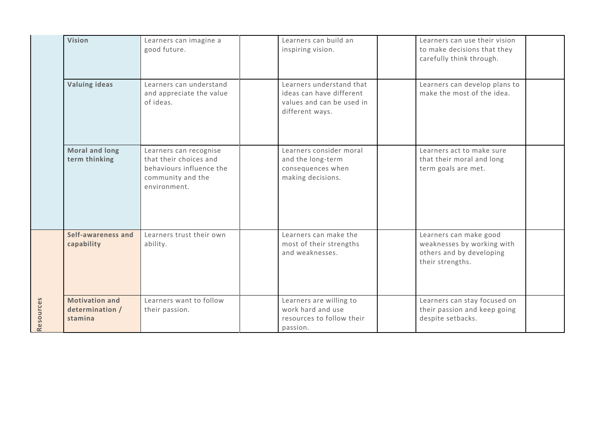|           | Vision                                              | Learners can imagine a<br>good future.                                                                            | Learners can build an<br>inspiring vision.                                                           | Learners can use their vision<br>to make decisions that they<br>carefully think through.             |
|-----------|-----------------------------------------------------|-------------------------------------------------------------------------------------------------------------------|------------------------------------------------------------------------------------------------------|------------------------------------------------------------------------------------------------------|
|           | <b>Valuing ideas</b>                                | Learners can understand<br>and appreciate the value<br>of ideas.                                                  | Learners understand that<br>ideas can have different<br>values and can be used in<br>different ways. | Learners can develop plans to<br>make the most of the idea.                                          |
|           | <b>Moral and long</b><br>term thinking              | Learners can recognise<br>that their choices and<br>behaviours influence the<br>community and the<br>environment. | Learners consider moral<br>and the long-term<br>consequences when<br>making decisions.               | Learners act to make sure<br>that their moral and long<br>term goals are met.                        |
|           | Self-awareness and<br>capability                    | Learners trust their own<br>ability.                                                                              | Learners can make the<br>most of their strengths<br>and weaknesses.                                  | Learners can make good<br>weaknesses by working with<br>others and by developing<br>their strengths. |
| Resources | <b>Motivation and</b><br>determination /<br>stamina | Learners want to follow<br>their passion.                                                                         | Learners are willing to<br>work hard and use<br>resources to follow their<br>passion.                | Learners can stay focused on<br>their passion and keep going<br>despite setbacks.                    |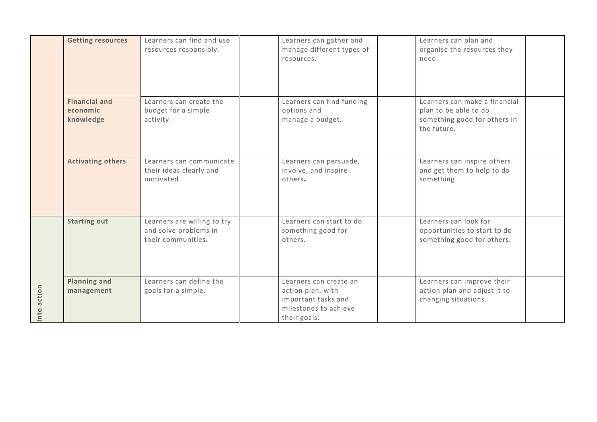|            | <b>Getting resources</b>                      | Learners can find and use<br>resources responsibly.                        | Learners can gather and<br>manage different types of<br>resources.                                          | Learners can plan and<br>organise the resources they<br>need.                                         |
|------------|-----------------------------------------------|----------------------------------------------------------------------------|-------------------------------------------------------------------------------------------------------------|-------------------------------------------------------------------------------------------------------|
|            | <b>Financial and</b><br>economic<br>knowledge | Learners can create the<br>budget for a simple<br>activity.                | Learners can find funding<br>options and<br>manage a budget.                                                | Learners can make a financial<br>plan to be able to do<br>something good for others in<br>the future. |
|            | <b>Activating others</b>                      | Learners can communicate<br>their ideas clearly and<br>motivated.          | Learners can persuade,<br>involve, and inspire<br>others-                                                   | Learners can inspire others<br>and get them to help to do<br>something                                |
|            | <b>Starting out</b>                           | Learners are willing to try<br>and solve problems in<br>their communities. | Learners can start to do<br>something good for<br>others.                                                   | Learners can look for<br>opportunities to start to do<br>something good for others.                   |
| nto action | <b>Planning and</b><br>management             | Learners can define the<br>goals for a simple.                             | Learners can create an<br>action plan, with<br>important tasks and<br>milestones to achieve<br>their goals. | Learners can improve their<br>action plan and adjust it to<br>changing situations.                    |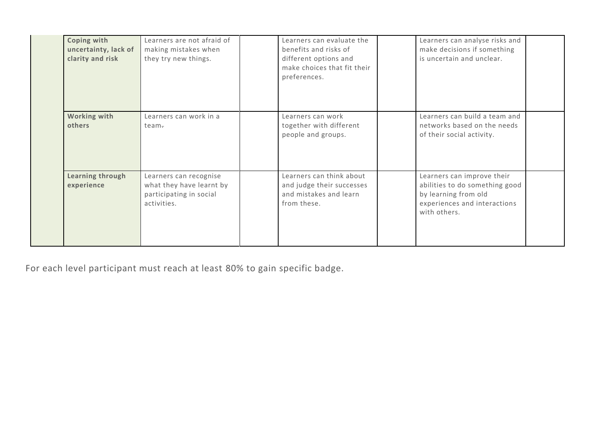|  | Coping with<br>uncertainty, lack of<br>clarity and risk | Learners are not afraid of<br>making mistakes when<br>they try new things.                   | Learners can evaluate the<br>benefits and risks of<br>different options and<br>make choices that fit their<br>preferences. | Learners can analyse risks and<br>make decisions if something<br>is uncertain and unclear.                                           |  |
|--|---------------------------------------------------------|----------------------------------------------------------------------------------------------|----------------------------------------------------------------------------------------------------------------------------|--------------------------------------------------------------------------------------------------------------------------------------|--|
|  | Working with<br>others                                  | Learners can work in a<br>team-                                                              | Learners can work<br>together with different<br>people and groups.                                                         | Learners can build a team and<br>networks based on the needs<br>of their social activity.                                            |  |
|  | Learning through<br>experience                          | Learners can recognise<br>what they have learnt by<br>participating in social<br>activities. | Learners can think about<br>and judge their successes<br>and mistakes and learn<br>from these.                             | Learners can improve their<br>abilities to do something good<br>by learning from old<br>experiences and interactions<br>with others. |  |

For each level participant must reach at least 80% to gain specific badge.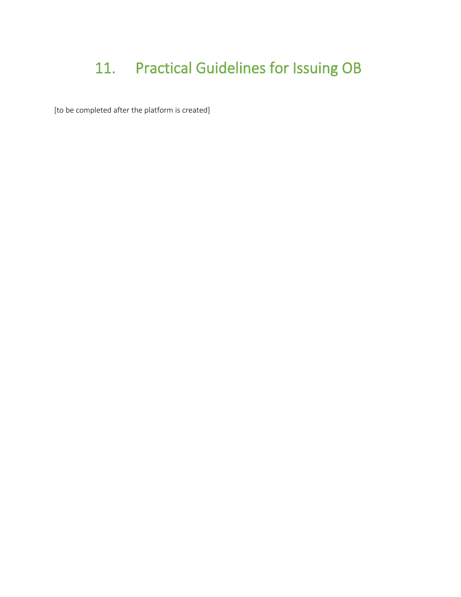# 11. Practical Guidelines for Issuing OB

<span id="page-27-0"></span>[to be completed after the platform is created]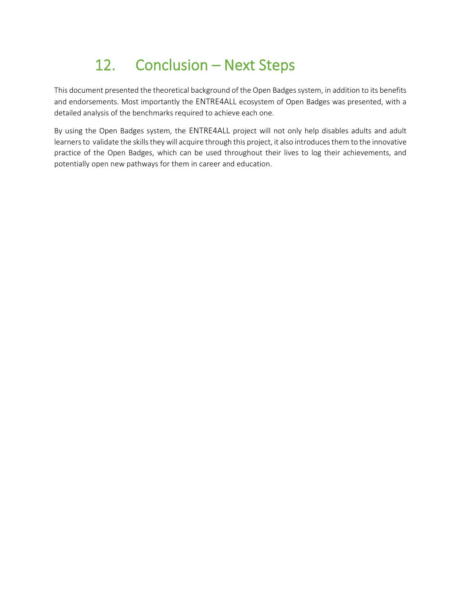# 12. Conclusion – Next Steps

<span id="page-28-0"></span>This document presented the theoretical background of the Open Badges system, in addition to its benefits and endorsements. Most importantly the ENTRE4ALL ecosystem of Open Badges was presented, with a detailed analysis of the benchmarks required to achieve each one.

By using the Open Badges system, the ENTRE4ALL project will not only help disables adults and adult learners to validate the skills they will acquire through this project, it also introduces them to the innovative practice of the Open Badges, which can be used throughout their lives to log their achievements, and potentially open new pathways for them in career and education.